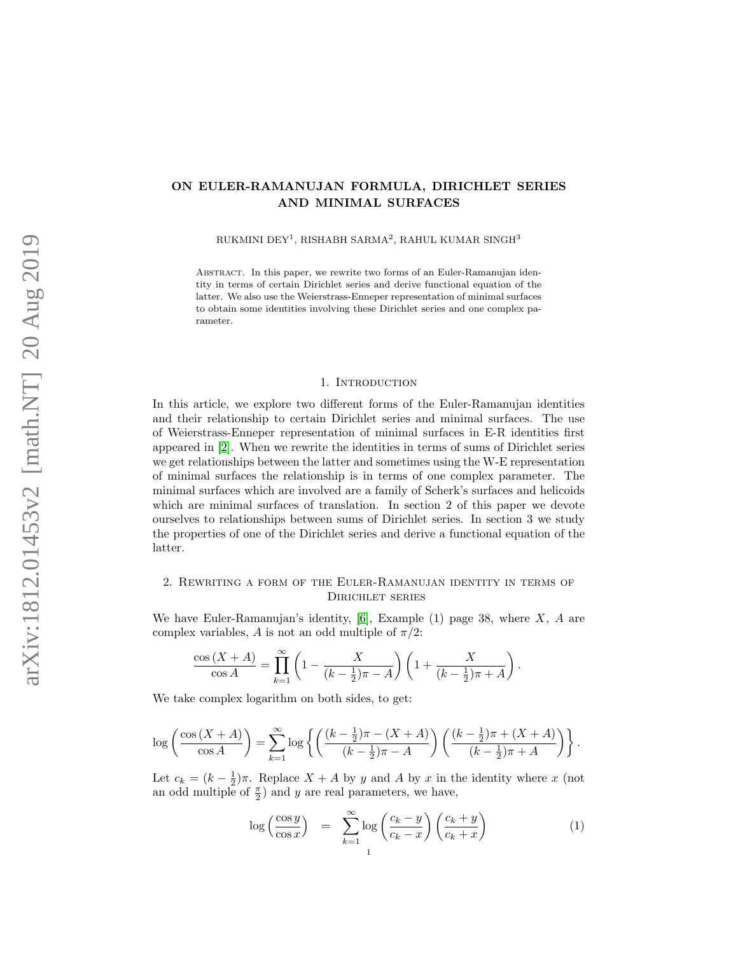# ON EULER-RAMANUJAN FORMULA, DIRICHLET SERIES AND MINIMAL SURFACES

RUKMINI DEY $^1$ , RISHABH SARMA $^2$ , RAHUL KUMAR SINGH $^3$ 

Abstract. In this paper, we rewrite two forms of an Euler-Ramanujan identity in terms of certain Dirichlet series and derive functional equation of the latter. We also use the Weierstrass-Enneper representation of minimal surfaces to obtain some identities involving these Dirichlet series and one complex parameter.

#### 1. INTRODUCTION

In this article, we explore two different forms of the Euler-Ramanujan identities and their relationship to certain Dirichlet series and minimal surfaces. The use of Weierstrass-Enneper representation of minimal surfaces in E-R identities first appeared in [\[2\]](#page-10-0). When we rewrite the identities in terms of sums of Dirichlet series we get relationships between the latter and sometimes using the W-E representation of minimal surfaces the relationship is in terms of one complex parameter. The minimal surfaces which are involved are a family of Scherk's surfaces and helicoids which are minimal surfaces of translation. In section 2 of this paper we devote ourselves to relationships between sums of Dirichlet series. In section 3 we study the properties of one of the Dirichlet series and derive a functional equation of the latter.

## 2. Rewriting a form of the Euler-Ramanujan identity in terms of Dirichlet series

We have Euler-Ramanujan's identity,  $\vert 6 \vert$ , Example (1) page 38, where X, A are complex variables, A is not an odd multiple of  $\pi/2$ :

$$
\frac{\cos (X + A)}{\cos A} = \prod_{k=1}^{\infty} \left( 1 - \frac{X}{(k - \frac{1}{2})\pi - A} \right) \left( 1 + \frac{X}{(k - \frac{1}{2})\pi + A} \right).
$$

We take complex logarithm on both sides, to get:

$$
\log\left(\frac{\cos\left(X+A\right)}{\cos A}\right) = \sum_{k=1}^{\infty} \log\left\{ \left(\frac{(k-\frac{1}{2})\pi - (X+A)}{(k-\frac{1}{2})\pi - A}\right) \left(\frac{(k-\frac{1}{2})\pi + (X+A)}{(k-\frac{1}{2})\pi + A}\right) \right\}.
$$

Let  $c_k = (k - \frac{1}{2})\pi$ . Replace  $X + A$  by y and A by x in the identity where x (not an odd multiple of  $\frac{\pi}{2}$ ) and y are real parameters, we have,

<span id="page-0-0"></span>
$$
\log\left(\frac{\cos y}{\cos x}\right) = \sum_{k=1}^{\infty} \log\left(\frac{c_k - y}{c_k - x}\right) \left(\frac{c_k + y}{c_k + x}\right) \tag{1}
$$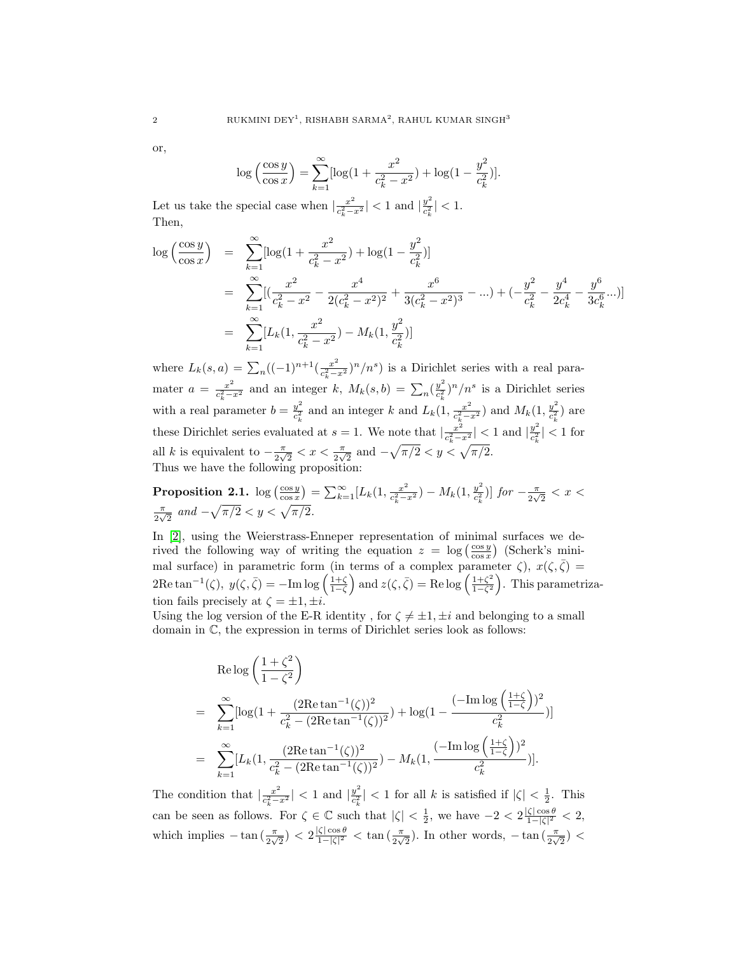or,

$$
\log\left(\frac{\cos y}{\cos x}\right) = \sum_{k=1}^{\infty} \left[\log\left(1 + \frac{x^2}{c_k^2 - x^2}\right) + \log\left(1 - \frac{y^2}{c_k^2}\right)\right].
$$

Let us take the special case when  $\frac{x^2}{a^2}$  $\frac{x^2}{c_k^2 - x^2}$  | < 1 and  $\frac{y^2}{c_k^2}$  $\frac{y^2}{c_k^2}| < 1.$ Then,

$$
\log\left(\frac{\cos y}{\cos x}\right) = \sum_{k=1}^{\infty} [\log(1 + \frac{x^2}{c_k^2 - x^2}) + \log(1 - \frac{y^2}{c_k^2})]
$$
  
\n
$$
= \sum_{k=1}^{\infty} [(\frac{x^2}{c_k^2 - x^2} - \frac{x^4}{2(c_k^2 - x^2)^2} + \frac{x^6}{3(c_k^2 - x^2)^3} - ...) + (-\frac{y^2}{c_k^2} - \frac{y^4}{2c_k^4} - \frac{y^6}{3c_k^6}...)]
$$
  
\n
$$
= \sum_{k=1}^{\infty} [L_k(1, \frac{x^2}{c_k^2 - x^2}) - M_k(1, \frac{y^2}{c_k^2})]
$$

where  $L_k(s, a) = \sum_n ((-1)^{n+1} (\frac{x^2}{c_k^2 - a})$  $\frac{x^2}{c_k^2-x^2}$ )<sup>n</sup>/n<sup>s</sup>) is a Dirichlet series with a real paramater  $a = \frac{x^2}{a^2}$  $\frac{x^2}{c_k^2 - x^2}$  and an integer k,  $M_k(s, b) = \sum_n \left(\frac{y^2}{c_k^2}\right)$  $\frac{y^2}{c_k^2}$ )<sup>n</sup>/n<sup>s</sup> is a Dirichlet series with a real parameter  $b = \frac{y^2}{c^2}$  $\frac{y^2}{c_k^2}$  and an integer k and  $L_k(1, \frac{x^2}{c_k^2 - 1})$  $\frac{x^2}{c_k^2 - x^2}$ ) and  $M_k(1, \frac{y^2}{c_k^2})$  $\frac{y^-}{c_k^2}$ ) are these Dirichlet series evaluated at  $s = 1$ . We note that  $\frac{x^2}{a^2}$  $\frac{x^2}{c_k^2 - x^2}$  | < 1 and  $\frac{y^2}{c_k^2}$  $\frac{y^2}{c_k^2}$  |  $<$  1 for all k is equivalent to  $-\frac{\pi}{2}$  $\frac{\pi}{2\sqrt{2}} < x < \frac{\pi}{2\sqrt{2}}$  and  $-\sqrt{\pi/2} < y < \sqrt{\pi/2}$ . Thus we have the following proposition:

**Proposition 2.1.** log  $\left(\frac{\cos y}{\cos x}\right) = \sum_{k=1}^{\infty} [L_k(1, \frac{x^2}{c_{k-1}^2})]$  $\frac{x^2}{c_k^2-x^2})-M_k(1,\frac{y^2}{c_k^2})$  $\frac{y^2}{c_k^2}$ )] for  $-\frac{\pi}{2\sqrt{}}$  $\frac{\pi}{2\sqrt{2}}$  <  $x$  <  $\pi$  $\frac{\pi}{2\sqrt{2}}$  and  $-\sqrt{\pi/2} < y < \sqrt{\pi/2}$ .

In [\[2\]](#page-10-0), using the Weierstrass-Enneper representation of minimal surfaces we derived the following way of writing the equation  $z = \log \left( \frac{\cos y}{\cos x} \right)$  (Scherk's minimal surface) in parametric form (in terms of a complex parameter  $\zeta$ ),  $x(\zeta, \bar{\zeta}) =$  $2\text{Re}\tan^{-1}(\zeta), y(\zeta,\bar{\zeta}) = -\text{Im}\log\left(\frac{1+\zeta}{1-\zeta}\right)$  and  $z(\zeta,\bar{\zeta}) = \text{Re}\log\left(\frac{1+\zeta^2}{1-\zeta^2}\right)$  $\frac{1+\zeta^2}{1-\zeta^2}$ . This parametrization fails precisely at  $\zeta = \pm 1, \pm i$ .

Using the log version of the E-R identity, for  $\zeta \neq \pm 1, \pm i$  and belonging to a small domain in C, the expression in terms of Dirichlet series look as follows:

$$
\begin{split} &\text{Re}\log\left(\frac{1+\zeta^2}{1-\zeta^2}\right) \\ &= \sum_{k=1}^{\infty}[\log(1+\frac{(2\text{Re}\tan^{-1}(\zeta))^2}{c_k^2-(2\text{Re}\tan^{-1}(\zeta))^2})+\log(1-\frac{(-\text{Im}\log\left(\frac{1+\zeta}{1-\zeta}\right))^2}{c_k^2})] \\ &= \sum_{k=1}^{\infty}[L_k(1,\frac{(2\text{Re}\tan^{-1}(\zeta))^2}{c_k^2-(2\text{Re}\tan^{-1}(\zeta))^2})-M_k(1,\frac{(-\text{Im}\log\left(\frac{1+\zeta}{1-\zeta}\right))^2}{c_k^2})]. \end{split}
$$

The condition that  $\frac{x^2}{a^2}$  $\frac{x^2}{c_k^2 - x^2}$  | < 1 and  $\frac{y^2}{c_k^2}$  $\frac{y^2}{c_k^2}|$  < 1 for all k is satisfied if  $|\zeta| < \frac{1}{2}$ . This can be seen as follows. For  $\zeta \in \mathbb{C}$  such that  $|\zeta| < \frac{1}{2}$ , we have  $-2 < 2 \frac{|\zeta| \cos \theta}{1 - |\zeta|^2}$  $\frac{\zeta |\cos \theta|}{1-|\zeta|^2} < 2,$ which implies  $-\tan(\frac{\pi}{2\sqrt{2}}) < 2\frac{|\zeta|\cos\theta}{1-|\zeta|^2}$  $\frac{\zeta |\cos \theta|}{1-|\zeta|^2}$  < tan  $\left(\frac{\pi}{2\sqrt{2}}\right)$ . In other words,  $-\tan\left(\frac{\pi}{2\sqrt{2}}\right)$  <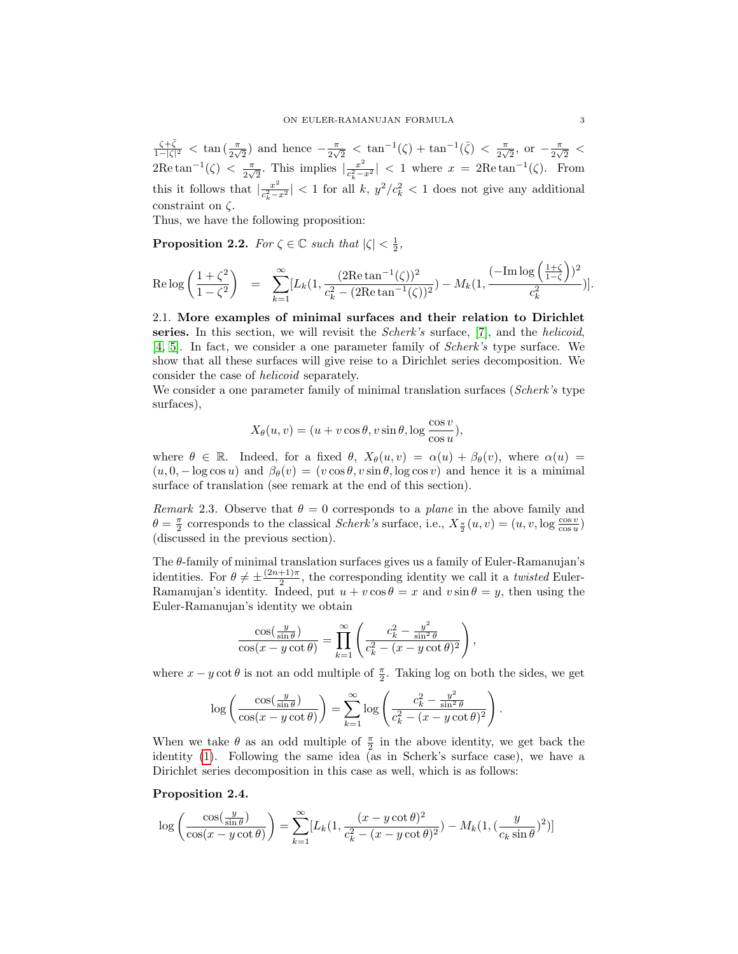$\frac{\zeta+\bar{\zeta}}{1-|\zeta|^2}$  <  $\tan\left(\frac{\pi}{2\sqrt{2}}\right)$  and hence  $-\frac{\pi}{2\sqrt{2}}$  $\frac{\pi}{2\sqrt{2}}$  <  $\tan^{-1}(\zeta) + \tan^{-1}(\bar{\zeta}) < \frac{\pi}{2\sqrt{2}}$  $\frac{\pi}{2\sqrt{2}}, \text{ or } -\frac{\pi}{2\sqrt{2}}$  $\frac{\pi}{2\sqrt{2}}$  <  $2\mathrm{Re}\tan^{-1}(\zeta) < \frac{\pi}{2}$  $rac{\pi}{2\sqrt{2}}$ . This implies  $\left|\frac{x^2}{c_k^2 - x}\right|$  $\frac{x^2}{c_k^2 - x^2}$  < 1 where  $x = 2 \text{Re} \tan^{-1}(\zeta)$ . From this it follows that  $\frac{x^2}{a^2}$  $\left|\frac{x^2}{c_k^2-x^2}\right|$  < 1 for all k,  $y^2/c_k^2$  < 1 does not give any additional constraint on  $\zeta$ .

Thus, we have the following proposition:

**Proposition 2.2.** For  $\zeta \in \mathbb{C}$  such that  $|\zeta| < \frac{1}{2}$ ,

$$
\text{Re}\log\left(\frac{1+\zeta^2}{1-\zeta^2}\right) \quad = \quad \sum_{k=1}^\infty [L_k(1,\frac{(2\text{Re}\tan^{-1}(\zeta))^2}{c_k^2-(2\text{Re}\tan^{-1}(\zeta))^2})-M_k(1,\frac{(-\text{Im}\log\left(\frac{1+\zeta}{1-\zeta}\right))^2}{c_k^2})].
$$

2.1. More examples of minimal surfaces and their relation to Dirichlet series. In this section, we will revisit the *Scherk's* surface,  $[7]$ , and the *helicoid*, [\[4,](#page-10-3) [5\]](#page-10-4). In fact, we consider a one parameter family of Scherk's type surface. We show that all these surfaces will give reise to a Dirichlet series decomposition. We consider the case of helicoid separately.

We consider a one parameter family of minimal translation surfaces (Scherk's type surfaces),

$$
X_{\theta}(u,v) = (u + v \cos \theta, v \sin \theta, \log \frac{\cos v}{\cos u}),
$$

where  $\theta \in \mathbb{R}$ . Indeed, for a fixed  $\theta$ ,  $X_{\theta}(u, v) = \alpha(u) + \beta_{\theta}(v)$ , where  $\alpha(u)$  $(u, 0, -\log \cos u)$  and  $\beta_{\theta}(v) = (v \cos \theta, v \sin \theta, \log \cos v)$  and hence it is a minimal surface of translation (see remark at the end of this section).

*Remark* 2.3. Observe that  $\theta = 0$  corresponds to a *plane* in the above family and  $\theta = \frac{\pi}{2}$  corresponds to the classical *Scherk's* surface, i.e.,  $X_{\frac{\pi}{2}}(u, v) = (u, v, \log \frac{\cos v}{\cos u})$ (discussed in the previous section).

The  $\theta$ -family of minimal translation surfaces gives us a family of Euler-Ramanujan's identities. For  $\theta \neq \pm \frac{(2n+1)\pi}{2}$  $\frac{1}{2}$ , the corresponding identity we call it a *twisted* Euler-Ramanujan's identity. Indeed, put  $u + v \cos \theta = x$  and  $v \sin \theta = y$ , then using the Euler-Ramanujan's identity we obtain

$$
\frac{\cos(\frac{y}{\sin\theta})}{\cos(x-y\cot\theta)} = \prod_{k=1}^{\infty} \left( \frac{c_k^2 - \frac{y^2}{\sin^2\theta}}{c_k^2 - (x-y\cot\theta)^2} \right),
$$

where  $x - y \cot \theta$  is not an odd multiple of  $\frac{\pi}{2}$ . Taking log on both the sides, we get

.

$$
\log\left(\frac{\cos(\frac{y}{\sin\theta})}{\cos(x-y\cot\theta)}\right) = \sum_{k=1}^{\infty} \log\left(\frac{c_k^2 - \frac{y^2}{\sin^2\theta}}{c_k^2 - (x-y\cot\theta)^2}\right)
$$

When we take  $\theta$  as an odd multiple of  $\frac{\pi}{2}$  in the above identity, we get back the identity [\(1\)](#page-0-0). Following the same idea (as in Scherk's surface case), we have a Dirichlet series decomposition in this case as well, which is as follows:

## Proposition 2.4.

$$
\log\left(\frac{\cos(\frac{y}{\sin\theta})}{\cos(x-y\cot\theta)}\right) = \sum_{k=1}^{\infty} [L_k(1, \frac{(x-y\cot\theta)^2}{c_k^2 - (x-y\cot\theta)^2}) - M_k(1, (\frac{y}{c_k\sin\theta})^2)]
$$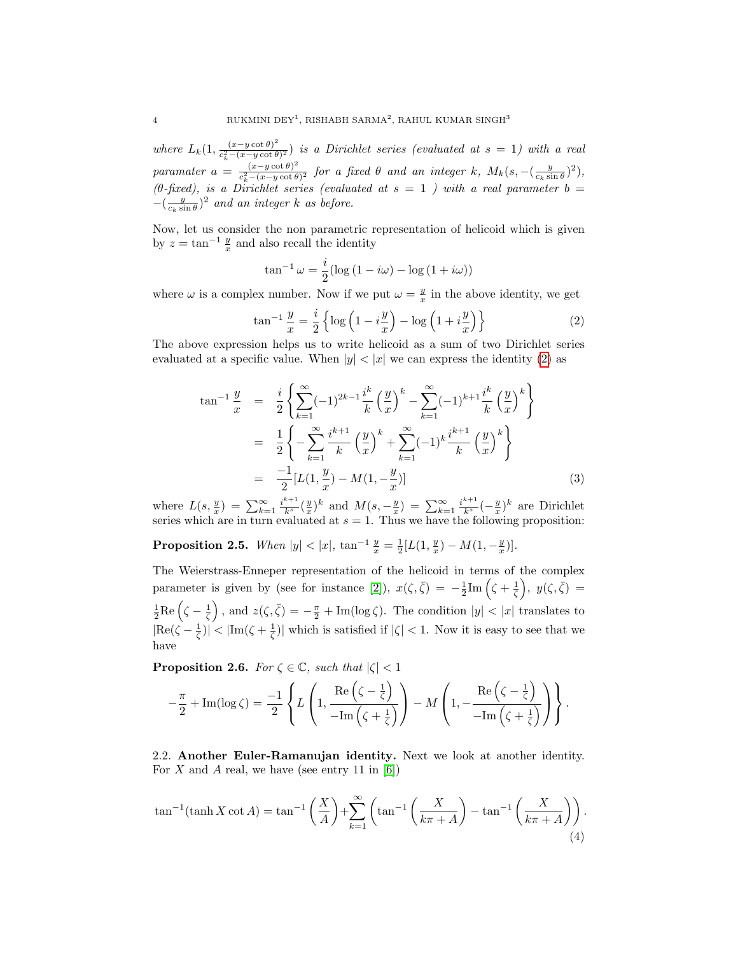where  $L_k(1, \frac{(x-y \cot \theta)^2}{c^2-(x-y \cot \theta)})$  $\frac{(x-y\cot\theta)}{c_k^2-(x-y\cot\theta)^2}$  is a Dirichlet series (evaluated at  $s=1$ ) with a real paramater  $a = \frac{(x-y \cot \theta)^2}{c^2-(x-y \cot \theta)}$  $\frac{(x-y\cot\theta)^2}{c_k^2-(x-y\cot\theta)^2}$  for a fixed  $\theta$  and an integer k,  $M_k(s,-(\frac{y}{c_k\sin\theta})^2)$ , (θ-fixed), is a Dirichlet series (evaluated at  $s = 1$ ) with a real parameter  $b =$  $-(\frac{y}{c_k \sin \theta})^2$  and an integer k as before.

Now, let us consider the non parametric representation of helicoid which is given by  $z = \tan^{-1} \frac{y}{x}$  and also recall the identity

$$
\tan^{-1} \omega = \frac{i}{2} (\log (1 - i\omega) - \log (1 + i\omega))
$$

where  $\omega$  is a complex number. Now if we put  $\omega = \frac{y}{x}$  in the above identity, we get

<span id="page-3-0"></span>
$$
\tan^{-1}\frac{y}{x} = \frac{i}{2} \left\{ \log \left( 1 - i\frac{y}{x} \right) - \log \left( 1 + i\frac{y}{x} \right) \right\} \tag{2}
$$

The above expression helps us to write helicoid as a sum of two Dirichlet series evaluated at a specific value. When  $|y| < |x|$  we can express the identity [\(2\)](#page-3-0) as

$$
\tan^{-1} \frac{y}{x} = \frac{i}{2} \left\{ \sum_{k=1}^{\infty} (-1)^{2k-1} \frac{i^k}{k} \left( \frac{y}{x} \right)^k - \sum_{k=1}^{\infty} (-1)^{k+1} \frac{i^k}{k} \left( \frac{y}{x} \right)^k \right\}
$$
  

$$
= \frac{1}{2} \left\{ -\sum_{k=1}^{\infty} \frac{i^{k+1}}{k} \left( \frac{y}{x} \right)^k + \sum_{k=1}^{\infty} (-1)^k \frac{i^{k+1}}{k} \left( \frac{y}{x} \right)^k \right\}
$$
  

$$
= \frac{-1}{2} [L(1, \frac{y}{x}) - M(1, -\frac{y}{x})]
$$
(3)

where  $L(s, \frac{y}{x}) = \sum_{k=1}^{\infty} \frac{i^{k+1}}{k^s} (\frac{y}{x})^k$  and  $M(s, -\frac{y}{x}) = \sum_{k=1}^{\infty} \frac{i^{k+1}}{k^s} (-\frac{y}{x})^k$  are Dirichlet series which are in turn evaluated at  $s = 1$ . Thus we have the following proposition:

**Proposition 2.5.** When  $|y| < |x|$ ,  $\tan^{-1} \frac{y}{x} = \frac{1}{2} [L(1, \frac{y}{x}) - M(1, -\frac{y}{x})]$ .

The Weierstrass-Enneper representation of the helicoid in terms of the complex parameter is given by (see for instance [\[2\]](#page-10-0)),  $x(\zeta,\bar{\zeta}) = -\frac{1}{2}$ Im  $(\zeta + \frac{1}{\zeta})$ ,  $y(\zeta,\bar{\zeta}) =$  $\frac{1}{2}$ Re  $(\zeta - \frac{1}{\zeta})$ , and  $z(\zeta, \bar{\zeta}) = -\frac{\pi}{2} + \text{Im}(\log \zeta)$ . The condition  $|y| < |x|$  translates to  $|Re(\zeta - \frac{1}{\zeta})| < |Im(\zeta + \frac{1}{\zeta})|$  which is satisfied if  $|\zeta| < 1$ . Now it is easy to see that we have

**Proposition 2.6.** For  $\zeta \in \mathbb{C}$ , such that  $|\zeta| < 1$ 

$$
-\frac{\pi}{2} + \operatorname{Im}(\log \zeta) = -\frac{1}{2} \left\{ L\left(1, \frac{\operatorname{Re}\left(\zeta - \frac{1}{\zeta}\right)}{-\operatorname{Im}\left(\zeta + \frac{1}{\zeta}\right)}\right) - M\left(1, -\frac{\operatorname{Re}\left(\zeta - \frac{1}{\zeta}\right)}{-\operatorname{Im}\left(\zeta + \frac{1}{\zeta}\right)}\right) \right\}.
$$

2.2. Another Euler-Ramanujan identity. Next we look at another identity. For X and A real, we have (see entry 11 in  $[6]$ )

<span id="page-3-1"></span>
$$
\tan^{-1}(\tanh X \cot A) = \tan^{-1}\left(\frac{X}{A}\right) + \sum_{k=1}^{\infty} \left(\tan^{-1}\left(\frac{X}{k\pi + A}\right) - \tan^{-1}\left(\frac{X}{k\pi + A}\right)\right).
$$
\n(4)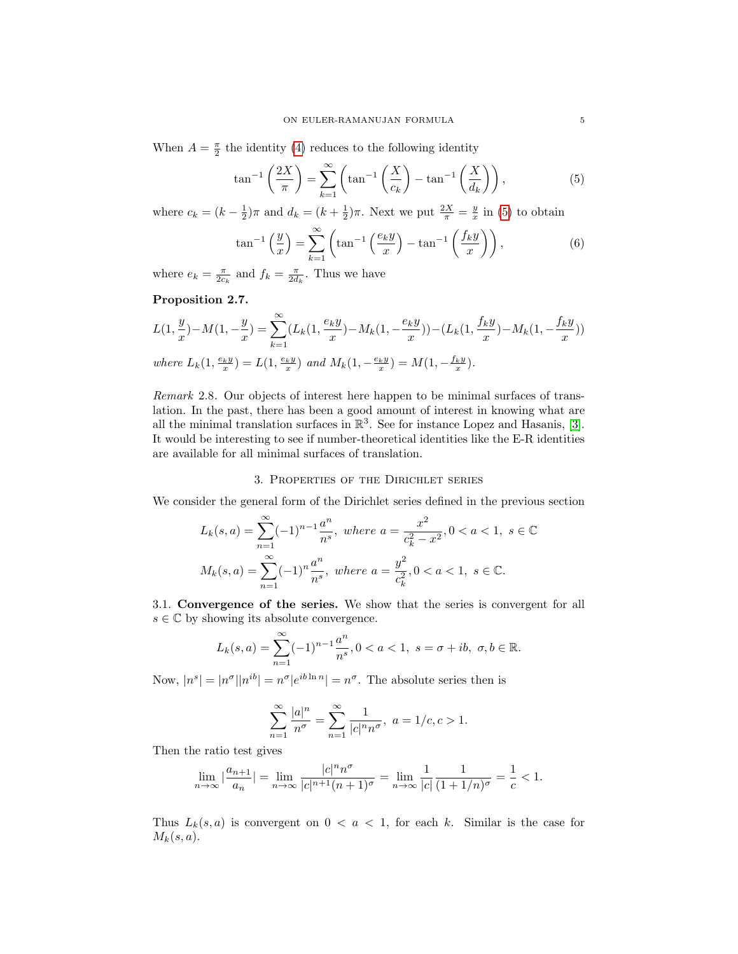When  $A = \frac{\pi}{2}$  the identity [\(4\)](#page-3-1) reduces to the following identity

<span id="page-4-0"></span>
$$
\tan^{-1}\left(\frac{2X}{\pi}\right) = \sum_{k=1}^{\infty} \left(\tan^{-1}\left(\frac{X}{c_k}\right) - \tan^{-1}\left(\frac{X}{d_k}\right)\right),\tag{5}
$$

where  $c_k = (k - \frac{1}{2})\pi$  and  $d_k = (k + \frac{1}{2})\pi$ . Next we put  $\frac{2X}{\pi} = \frac{y}{x}$  in [\(5\)](#page-4-0) to obtain

$$
\tan^{-1}\left(\frac{y}{x}\right) = \sum_{k=1}^{\infty} \left(\tan^{-1}\left(\frac{e_k y}{x}\right) - \tan^{-1}\left(\frac{f_k y}{x}\right)\right),\tag{6}
$$

where  $e_k = \frac{\pi}{2c_k}$  and  $f_k = \frac{\pi}{2d_k}$ . Thus we have

# Proposition 2.7.

$$
L(1, \frac{y}{x}) - M(1, -\frac{y}{x}) = \sum_{k=1}^{\infty} (L_k(1, \frac{e_k y}{x}) - M_k(1, -\frac{e_k y}{x})) - (L_k(1, \frac{f_k y}{x}) - M_k(1, -\frac{f_k y}{x}))
$$
  
where  $L_k(1, \frac{e_k y}{x}) = L(1, \frac{e_k y}{x})$  and  $M_k(1, -\frac{e_k y}{x}) = M(1, -\frac{f_k y}{x}).$ 

Remark 2.8. Our objects of interest here happen to be minimal surfaces of translation. In the past, there has been a good amount of interest in knowing what are all the minimal translation surfaces in  $\mathbb{R}^3$ . See for instance Lopez and Hasanis, [\[3\]](#page-10-5). It would be interesting to see if number-theoretical identities like the E-R identities are available for all minimal surfaces of translation.

#### 3. Properties of the Dirichlet series

We consider the general form of the Dirichlet series defined in the previous section

$$
L_k(s, a) = \sum_{n=1}^{\infty} (-1)^{n-1} \frac{a^n}{n^s}, \text{ where } a = \frac{x^2}{c_k^2 - x^2}, 0 < a < 1, \ s \in \mathbb{C}
$$

$$
M_k(s, a) = \sum_{n=1}^{\infty} (-1)^n \frac{a^n}{n^s}, \text{ where } a = \frac{y^2}{c_k^2}, 0 < a < 1, \ s \in \mathbb{C}.
$$

3.1. Convergence of the series. We show that the series is convergent for all  $s \in \mathbb{C}$  by showing its absolute convergence.

$$
L_k(s, a) = \sum_{n=1}^{\infty} (-1)^{n-1} \frac{a^n}{n^s}, 0 < a < 1, \ s = \sigma + ib, \ \sigma, b \in \mathbb{R}.
$$

Now,  $|n^s| = |n^{\sigma}| |n^{ib}| = n^{\sigma} |e^{ib \ln n}| = n^{\sigma}$ . The absolute series then is

$$
\sum_{n=1}^\infty \frac{|a|^n}{n^\sigma} = \sum_{n=1}^\infty \frac{1}{|c|^n n^\sigma}, \ a=1/c, c>1.
$$

Then the ratio test gives

$$
\lim_{n \to \infty} |\frac{a_{n+1}}{a_n}| = \lim_{n \to \infty} \frac{|c|^n n^{\sigma}}{|c|^{n+1} (n+1)^{\sigma}} = \lim_{n \to \infty} \frac{1}{|c|} \frac{1}{(1+1/n)^{\sigma}} = \frac{1}{c} < 1.
$$

Thus  $L_k(s, a)$  is convergent on  $0 < a < 1$ , for each k. Similar is the case for  $M_k(s,a)$ .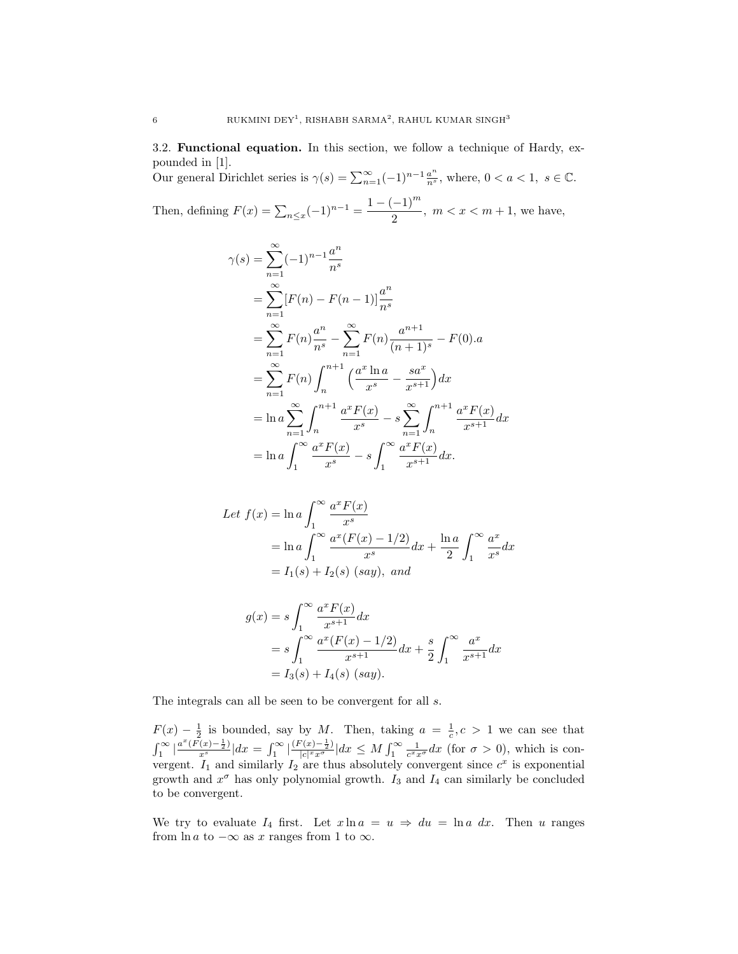3.2. Functional equation. In this section, we follow a technique of Hardy, expounded in [1].

Our general Dirichlet series is  $\gamma(s) = \sum_{n=1}^{\infty} (-1)^{n-1} \frac{a^n}{n^s}$ , where,  $0 < a < 1$ ,  $s \in \mathbb{C}$ . Then, defining  $F(x) = \sum_{n \leq x} (-1)^{n-1} = \frac{1 - (-1)^m}{2}$  $\frac{1}{2}$ ,  $m < x < m + 1$ , we have,

$$
\gamma(s) = \sum_{n=1}^{\infty} (-1)^{n-1} \frac{a^n}{n^s}
$$
  
\n
$$
= \sum_{n=1}^{\infty} [F(n) - F(n-1)] \frac{a^n}{n^s}
$$
  
\n
$$
= \sum_{n=1}^{\infty} F(n) \frac{a^n}{n^s} - \sum_{n=1}^{\infty} F(n) \frac{a^{n+1}}{(n+1)^s} - F(0).a
$$
  
\n
$$
= \sum_{n=1}^{\infty} F(n) \int_{n}^{n+1} \left(\frac{a^x \ln a}{x^s} - \frac{sa^x}{x^{s+1}}\right) dx
$$
  
\n
$$
= \ln a \sum_{n=1}^{\infty} \int_{n}^{n+1} \frac{a^x F(x)}{x^s} - s \sum_{n=1}^{\infty} \int_{n}^{n+1} \frac{a^x F(x)}{x^{s+1}} dx
$$
  
\n
$$
= \ln a \int_{1}^{\infty} \frac{a^x F(x)}{x^s} - s \int_{1}^{\infty} \frac{a^x F(x)}{x^{s+1}} dx.
$$

Let 
$$
f(x) = \ln a \int_1^{\infty} \frac{a^x F(x)}{x^s}
$$
  
=  $\ln a \int_1^{\infty} \frac{a^x (F(x) - 1/2)}{x^s} dx + \frac{\ln a}{2} \int_1^{\infty} \frac{a^x}{x^s} dx$   
=  $I_1(s) + I_2(s)$  (say), and

$$
g(x) = s \int_{1}^{\infty} \frac{a^{x} F(x)}{x^{s+1}} dx
$$
  
=  $s \int_{1}^{\infty} \frac{a^{x} (F(x) - 1/2)}{x^{s+1}} dx + \frac{s}{2} \int_{1}^{\infty} \frac{a^{x}}{x^{s+1}} dx$   
=  $I_{3}(s) + I_{4}(s)$  (say).

The integrals can all be seen to be convergent for all  $s$ .

 $F(x) - \frac{1}{2}$  is bounded, say by M. Then, taking  $a = \frac{1}{c}, c > 1$  we can see that  $\int_1^{\infty} |\frac{a^x(\bar{F(x)} - \frac{1}{2})}{x^s}| dx = \int_1^{\infty} |\frac{(F(x) - \frac{1}{2})}{|c|^{x}x^{\sigma}}$  $\frac{\partial^2(x)-\frac{1}{2}}{|c|^x x^{\sigma}}|dx \leq M \int_1^{\infty} \frac{1}{c^x x^{\sigma}} dx$  (for  $\sigma > 0$ ), which is convergent.  $I_1$  and similarly  $I_2$  are thus absolutely convergent since  $c^x$  is exponential growth and  $x^{\sigma}$  has only polynomial growth.  $I_3$  and  $I_4$  can similarly be concluded to be convergent.

We try to evaluate  $I_4$  first. Let  $x \ln a = u \Rightarrow du = \ln a \, dx$ . Then u ranges from ln a to  $-\infty$  as x ranges from 1 to  $\infty$ .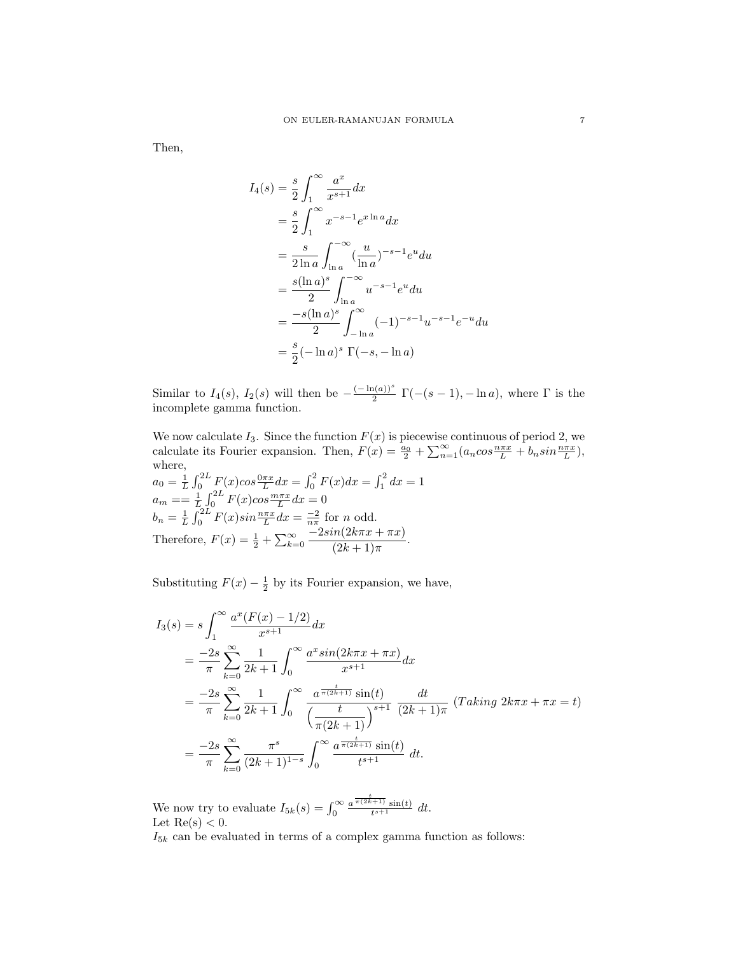Then,

$$
I_4(s) = \frac{s}{2} \int_1^{\infty} \frac{a^x}{x^{s+1}} dx
$$
  
=  $\frac{s}{2} \int_1^{\infty} x^{-s-1} e^{x \ln a} dx$   
=  $\frac{s}{2 \ln a} \int_{\ln a}^{-\infty} (\frac{u}{\ln a})^{-s-1} e^u du$   
=  $\frac{s(\ln a)^s}{2} \int_{\ln a}^{-\infty} u^{-s-1} e^u du$   
=  $\frac{-s(\ln a)^s}{2} \int_{-\ln a}^{\infty} (-1)^{-s-1} u^{-s-1} e^{-u} du$   
=  $\frac{s}{2} (-\ln a)^s \Gamma(-s, -\ln a)$ 

Similar to  $I_4(s)$ ,  $I_2(s)$  will then be  $-\frac{(-\ln(a))^s}{2}$  $\Gamma(\frac{\Gamma(a))^2}{2} \Gamma(-(s-1), -\ln a)$ , where  $\Gamma$  is the incomplete gamma function.

We now calculate  $I_3$ . Since the function  $F(x)$  is piecewise continuous of period 2, we calculate its Fourier expansion. Then,  $F(x) = \frac{a_0}{2} + \sum_{n=1}^{\infty} (a_n \cos \frac{n \pi x}{L} + b_n \sin \frac{n \pi x}{L}),$ where,

$$
a_0 = \frac{1}{L} \int_0^{2L} F(x) \cos \frac{0 \pi x}{L} dx = \int_0^2 F(x) dx = \int_1^2 dx = 1
$$
  
\n
$$
a_m = \frac{1}{L} \int_0^{2L} F(x) \cos \frac{m \pi x}{L} dx = 0
$$
  
\n
$$
b_n = \frac{1}{L} \int_0^{2L} F(x) \sin \frac{n \pi x}{L} dx = \frac{-2}{n \pi} \text{ for } n \text{ odd.}
$$
  
\nTherefore,  $F(x) = \frac{1}{2} + \sum_{k=0}^{\infty} \frac{-2 \sin(2k \pi x + \pi x)}{(2k+1) \pi}.$ 

Substituting  $F(x) - \frac{1}{2}$  by its Fourier expansion, we have,

$$
I_3(s) = s \int_1^{\infty} \frac{a^x (F(x) - 1/2)}{x^{s+1}} dx
$$
  
=  $\frac{-2s}{\pi} \sum_{k=0}^{\infty} \frac{1}{2k+1} \int_0^{\infty} \frac{a^x \sin(2k\pi x + \pi x)}{x^{s+1}} dx$   
=  $\frac{-2s}{\pi} \sum_{k=0}^{\infty} \frac{1}{2k+1} \int_0^{\infty} \frac{a^{\frac{t}{\pi(2k+1)}} \sin(t)}{\left(\frac{t}{\pi(2k+1)}\right)^{s+1}} \frac{dt}{(2k+1)\pi} (Taking 2k\pi x + \pi x = t)$   
=  $\frac{-2s}{\pi} \sum_{k=0}^{\infty} \frac{\pi^s}{(2k+1)^{1-s}} \int_0^{\infty} \frac{a^{\frac{t}{\pi(2k+1)}} \sin(t)}{t^{s+1}} dt.$ 

We now try to evaluate  $I_{5k}(s) = \int_0^\infty$  $a^{\frac{t}{\pi(2k+1)}}\sin(t)$  $\frac{t^{(t+1)}\sin(t)}{t^{(s+1)}} dt$ . Let  $\text{Re}(s) < 0$ .

 $\mathcal{I}_{5k}$  can be evaluated in terms of a complex gamma function as follows: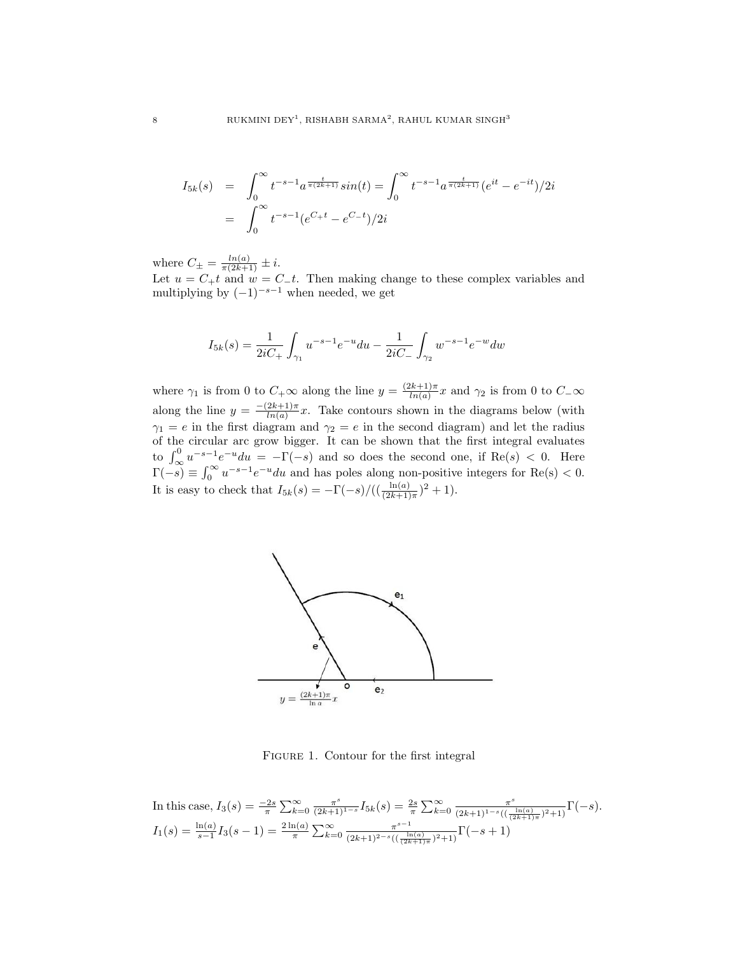$$
I_{5k}(s) = \int_0^\infty t^{-s-1} a^{\frac{t}{\pi(2k+1)}} \sin(t) = \int_0^\infty t^{-s-1} a^{\frac{t}{\pi(2k+1)}} (e^{it} - e^{-it})/2i
$$
  
= 
$$
\int_0^\infty t^{-s-1} (e^{C_+ t} - e^{C_- t})/2i
$$

where  $C_{\pm} = \frac{ln(a)}{\pi(2k+1)} \pm i$ .

Let  $u = C_+t$  and  $w = C_-t$ . Then making change to these complex variables and multiplying by  $(-1)^{-s-1}$  when needed, we get

$$
I_{5k}(s) = \frac{1}{2iC_{+}} \int_{\gamma_1} u^{-s-1} e^{-u} du - \frac{1}{2iC_{-}} \int_{\gamma_2} w^{-s-1} e^{-w} dw
$$

where  $\gamma_1$  is from 0 to  $C_+\infty$  along the line  $y = \frac{(2k+1)\pi}{\ln(a)}$  $\frac{1}{\ln(a)}$  and  $\gamma_2$  is from 0 to  $C_{-\infty}$ along the line  $y = \frac{-(2k+1)\pi}{\ln(a)}$  $\frac{2\kappa+1}{\ln(a)}x$ . Take contours shown in the diagrams below (with  $\gamma_1 = e$  in the first diagram and  $\gamma_2 = e$  in the second diagram) and let the radius of the circular arc grow bigger. It can be shown that the first integral evaluates to  $\int_{\infty}^{0} u^{-s-1} e^{-u} du = -\Gamma(-s)$  and so does the second one, if  $\text{Re}(s) < 0$ . Here  $\Gamma(-s) \equiv \int_0^\infty u^{-s-1} e^{-u} du$  and has poles along non-positive integers for Re(s) < 0. It is easy to check that  $I_{5k}(s) = -\Gamma(-s)/((\frac{\ln(a)}{(2k+1)\pi})^2 + 1)$ .



FIGURE 1. Contour for the first integral

In this case, 
$$
I_3(s) = \frac{-2s}{\pi} \sum_{k=0}^{\infty} \frac{\pi^s}{(2k+1)^{1-s}} I_{5k}(s) = \frac{2s}{\pi} \sum_{k=0}^{\infty} \frac{\pi^s}{(2k+1)^{1-s}((\frac{\ln(a)}{(2k+1)\pi})^2+1)} \Gamma(-s).
$$
  
 $I_1(s) = \frac{\ln(a)}{s-1} I_3(s-1) = \frac{2\ln(a)}{\pi} \sum_{k=0}^{\infty} \frac{\pi^{s-1}}{(2k+1)^{2-s}((\frac{\ln(a)}{(2k+1)\pi})^2+1)} \Gamma(-s+1)$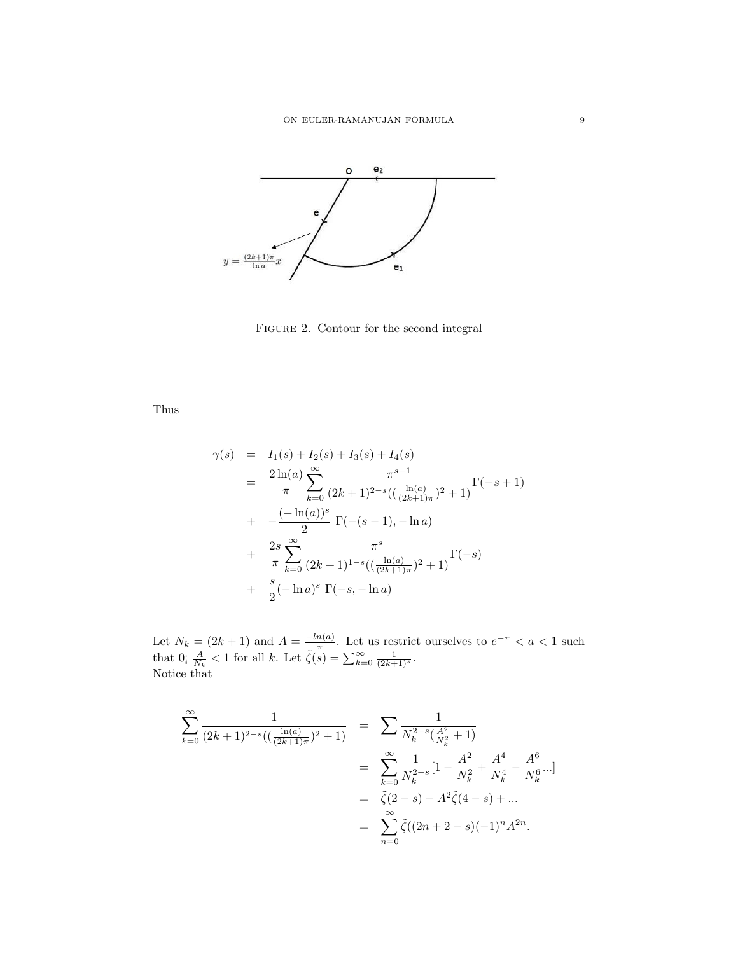

FIGURE 2. Contour for the second integral

Thus

$$
\gamma(s) = I_1(s) + I_2(s) + I_3(s) + I_4(s)
$$
\n
$$
= \frac{2\ln(a)}{\pi} \sum_{k=0}^{\infty} \frac{\pi^{s-1}}{(2k+1)^{2-s}((\frac{\ln(a)}{(2k+1)\pi})^2 + 1)} \Gamma(-s+1)
$$
\n
$$
+ \frac{(-\ln(a))^s}{2} \Gamma(-(s-1), -\ln a)
$$
\n
$$
+ \frac{2s}{\pi} \sum_{k=0}^{\infty} \frac{\pi^s}{(2k+1)^{1-s}((\frac{\ln(a)}{(2k+1)\pi})^2 + 1)} \Gamma(-s)
$$
\n
$$
+ \frac{s}{2}(-\ln a)^s \Gamma(-s, -\ln a)
$$

Let  $N_k = (2k+1)$  and  $A = \frac{-\ln(a)}{\pi}$  $\frac{n(a)}{\pi}$ . Let us restrict ourselves to  $e^{-\pi} < a < 1$  such that  $0 \text{ and } \frac{A}{N_k} < 1 \text{ for all } k.$  Let  $\tilde{\zeta}(s) = \sum_{k=0}^{\infty} \frac{1}{(2k+1)^s}$ . Notice that

$$
\sum_{k=0}^{\infty} \frac{1}{(2k+1)^{2-s}((\frac{\ln(a)}{(2k+1)\pi})^2+1)} = \sum_{k=0}^{\infty} \frac{1}{N_k^{2-s}(\frac{A^2}{N_k^2}+1)}
$$
  
= 
$$
\sum_{k=0}^{\infty} \frac{1}{N_k^{2-s}} [1 - \frac{A^2}{N_k^2} + \frac{A^4}{N_k^4} - \frac{A^6}{N_k^6}...]
$$
  
= 
$$
\tilde{\zeta}(2-s) - A^2 \tilde{\zeta}(4-s) + ...
$$
  
= 
$$
\sum_{n=0}^{\infty} \tilde{\zeta}((2n+2-s)(-1)^n A^{2n}.
$$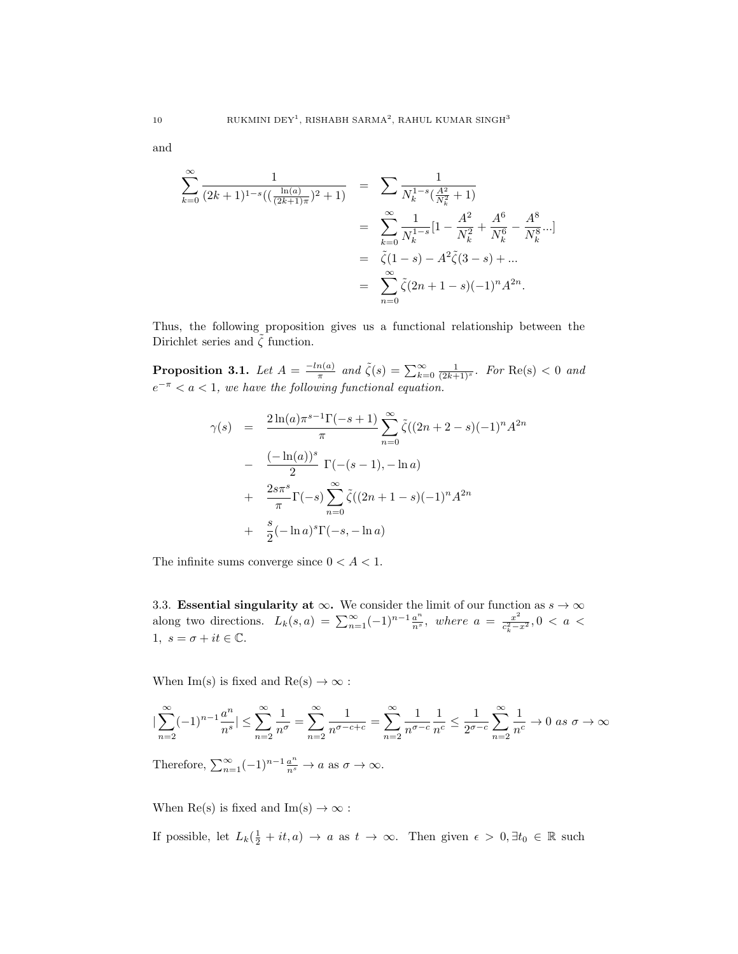and

$$
\sum_{k=0}^{\infty} \frac{1}{(2k+1)^{1-s}((\frac{\ln(a)}{(2k+1)\pi})^2+1)} = \sum_{k=0}^{\infty} \frac{1}{N_k^{1-s}(\frac{A^2}{N_k^2}+1)}
$$
  
= 
$$
\sum_{k=0}^{\infty} \frac{1}{N_k^{1-s}} [1 - \frac{A^2}{N_k^2} + \frac{A^6}{N_k^6} - \frac{A^8}{N_k^8}...]
$$
  
= 
$$
\tilde{\zeta}(1-s) - A^2 \tilde{\zeta}(3-s) + ...
$$
  
= 
$$
\sum_{n=0}^{\infty} \tilde{\zeta}(2n+1-s)(-1)^n A^{2n}.
$$

Thus, the following proposition gives us a functional relationship between the Dirichlet series and  $\tilde{\zeta}$  function.

**Proposition 3.1.** Let  $A = \frac{-ln(a)}{\pi}$  $\frac{n(a)}{\pi}$  and  $\tilde{\zeta}(s) = \sum_{k=0}^{\infty} \frac{1}{(2k+1)^s}$ . For  $\text{Re}(s) < 0$  and  $e^{-\pi} < a < 1$ , we have the following functional equation.

$$
\gamma(s) = \frac{2\ln(a)\pi^{s-1}\Gamma(-s+1)}{\pi} \sum_{n=0}^{\infty} \tilde{\zeta}((2n+2-s)(-1)^n A^{2n} - \frac{(-\ln(a))^s}{2} \Gamma(-(s-1), -\ln a) + \frac{2s\pi^s}{\pi} \Gamma(-s) \sum_{n=0}^{\infty} \tilde{\zeta}((2n+1-s)(-1)^n A^{2n} + \frac{s}{2}(-\ln a)^s \Gamma(-s, -\ln a)
$$

The infinite sums converge since  $0 < A < 1$ .

3.3. Essential singularity at  $\infty$ . We consider the limit of our function as  $s \to \infty$ along two directions.  $L_k(s,a) = \sum_{n=1}^{\infty} (-1)^{n-1} \frac{a^n}{n^s}$ , where  $a = \frac{x^2}{c_k^2 - 1}$  $\frac{x^2}{c_k^2-x^2}$ , 0 < a < 1,  $s = \sigma + it \in \mathbb{C}$ .

When Im(s) is fixed and  $Re(s) \rightarrow \infty$ :

$$
|\sum_{n=2}^{\infty} (-1)^{n-1} \frac{a^n}{n^s}| \le \sum_{n=2}^{\infty} \frac{1}{n^{\sigma}} = \sum_{n=2}^{\infty} \frac{1}{n^{\sigma-c+c}} = \sum_{n=2}^{\infty} \frac{1}{n^{\sigma-c}} \frac{1}{n^c} \le \frac{1}{2^{\sigma-c}} \sum_{n=2}^{\infty} \frac{1}{n^c} \to 0 \text{ as } \sigma \to \infty
$$

Therefore,  $\sum_{n=1}^{\infty} (-1)^{n-1} \frac{a^n}{n^s} \to a$  as  $\sigma \to \infty$ .

When  $\text{Re}(s)$  is fixed and  $\text{Im}(s) \to \infty$ :

If possible, let  $L_k(\frac{1}{2} + it, a) \to a$  as  $t \to \infty$ . Then given  $\epsilon > 0, \exists t_0 \in \mathbb{R}$  such